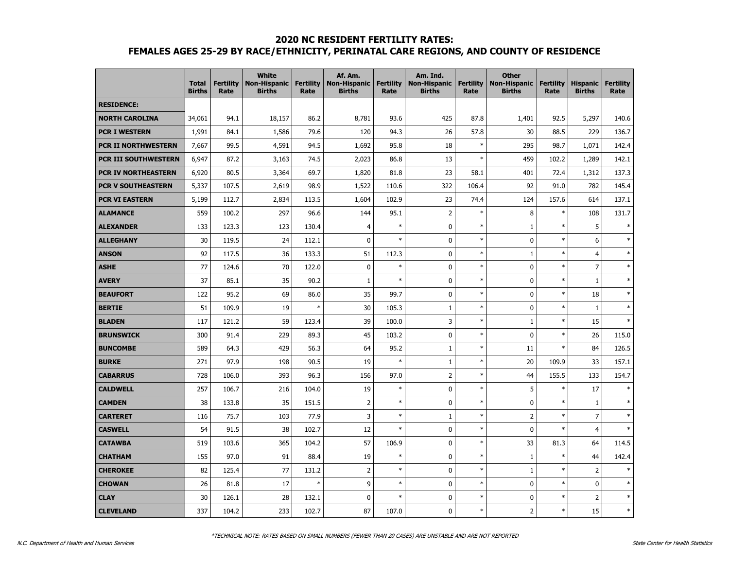#### **2020 NC RESIDENT FERTILITY RATES:**

## **FEMALES AGES 25-29 BY RACE/ETHNICITY, PERINATAL CARE REGIONS, AND COUNTY OF RESIDENCE**

|                             | <b>Total</b><br><b>Births</b> | <b>Fertility</b><br>Rate | <b>White</b><br><b>Non-Hispanic</b><br><b>Births</b> | <b>Fertility</b><br>Rate | Af. Am.<br><b>Non-Hispanic</b><br><b>Births</b> | <b>Fertility</b><br>Rate | Am. Ind.<br><b>Non-Hispanic</b><br><b>Births</b> | <b>Fertility</b><br>Rate | <b>Other</b><br><b>Non-Hispanic</b><br><b>Births</b> | <b>Fertility</b><br>Rate | <b>Hispanic</b><br><b>Births</b> | <b>Fertility</b><br>Rate |
|-----------------------------|-------------------------------|--------------------------|------------------------------------------------------|--------------------------|-------------------------------------------------|--------------------------|--------------------------------------------------|--------------------------|------------------------------------------------------|--------------------------|----------------------------------|--------------------------|
| <b>RESIDENCE:</b>           |                               |                          |                                                      |                          |                                                 |                          |                                                  |                          |                                                      |                          |                                  |                          |
| <b>NORTH CAROLINA</b>       | 34,061                        | 94.1                     | 18,157                                               | 86.2                     | 8,781                                           | 93.6                     | 425                                              | 87.8                     | 1,401                                                | 92.5                     | 5,297                            | 140.6                    |
| <b>PCR I WESTERN</b>        | 1,991                         | 84.1                     | 1,586                                                | 79.6                     | 120                                             | 94.3                     | 26                                               | 57.8                     | 30                                                   | 88.5                     | 229                              | 136.7                    |
| PCR II NORTHWESTERN         | 7,667                         | 99.5                     | 4,591                                                | 94.5                     | 1,692                                           | 95.8                     | 18                                               | $\ast$                   | 295                                                  | 98.7                     | 1,071                            | 142.4                    |
| <b>PCR III SOUTHWESTERN</b> | 6,947                         | 87.2                     | 3,163                                                | 74.5                     | 2,023                                           | 86.8                     | 13                                               | $\ast$                   | 459                                                  | 102.2                    | 1,289                            | 142.1                    |
| <b>PCR IV NORTHEASTERN</b>  | 6,920                         | 80.5                     | 3,364                                                | 69.7                     | 1,820                                           | 81.8                     | 23                                               | 58.1                     | 401                                                  | 72.4                     | 1,312                            | 137.3                    |
| <b>PCR V SOUTHEASTERN</b>   | 5,337                         | 107.5                    | 2,619                                                | 98.9                     | 1,522                                           | 110.6                    | 322                                              | 106.4                    | 92                                                   | 91.0                     | 782                              | 145.4                    |
| <b>PCR VI EASTERN</b>       | 5,199                         | 112.7                    | 2,834                                                | 113.5                    | 1,604                                           | 102.9                    | 23                                               | 74.4                     | 124                                                  | 157.6                    | 614                              | 137.1                    |
| <b>ALAMANCE</b>             | 559                           | 100.2                    | 297                                                  | 96.6                     | 144                                             | 95.1                     | $\overline{2}$                                   | $\ast$                   | 8                                                    | $\ast$                   | 108                              | 131.7                    |
| <b>ALEXANDER</b>            | 133                           | 123.3                    | 123                                                  | 130.4                    | $\overline{4}$                                  | $\ast$                   | $\mathbf 0$                                      | $\ast$                   | $\mathbf{1}$                                         | $\ast$                   | 5                                | $\ast$                   |
| <b>ALLEGHANY</b>            | 30                            | 119.5                    | 24                                                   | 112.1                    | $\mathbf{0}$                                    | $\ast$                   | $\mathbf 0$                                      | $\ast$                   | 0                                                    | $\ast$                   | 6                                | $\ast$                   |
| <b>ANSON</b>                | 92                            | 117.5                    | 36                                                   | 133.3                    | 51                                              | 112.3                    | $\mathbf 0$                                      | $\ast$                   | $\mathbf{1}$                                         | $\ast$                   | 4                                | $\ast$                   |
| <b>ASHE</b>                 | 77                            | 124.6                    | 70                                                   | 122.0                    | $\mathbf 0$                                     | $\ast$                   | $\mathbf 0$                                      | $\ast$                   | 0                                                    | $\ast$                   | $\overline{7}$                   | $\ast$                   |
| <b>AVERY</b>                | 37                            | 85.1                     | 35                                                   | 90.2                     | $\mathbf{1}$                                    | $\ast$                   | $\mathbf{0}$                                     | $\ast$                   | $\mathbf 0$                                          | $\ast$                   | $\mathbf{1}$                     | $\ast$                   |
| <b>BEAUFORT</b>             | 122                           | 95.2                     | 69                                                   | 86.0                     | 35                                              | 99.7                     | 0                                                | $\ast$                   | 0                                                    | $\ast$                   | 18                               | $\ast$                   |
| <b>BERTIE</b>               | 51                            | 109.9                    | 19                                                   | $\ast$                   | 30                                              | 105.3                    | $1\,$                                            | $\ast$                   | 0                                                    | $\ast$                   | $\mathbf{1}$                     | $\ast$                   |
| <b>BLADEN</b>               | 117                           | 121.2                    | 59                                                   | 123.4                    | 39                                              | 100.0                    | 3                                                | $\ast$                   | $\mathbf{1}$                                         | $\ast$                   | 15                               | $\ast$                   |
| <b>BRUNSWICK</b>            | 300                           | 91.4                     | 229                                                  | 89.3                     | 45                                              | 103.2                    | $\mathbf 0$                                      | $\ast$                   | $\mathbf 0$                                          | $\ast$                   | 26                               | 115.0                    |
| <b>BUNCOMBE</b>             | 589                           | 64.3                     | 429                                                  | 56.3                     | 64                                              | 95.2                     | $1\,$                                            | $\ast$                   | 11                                                   | $\ast$                   | 84                               | 126.5                    |
| <b>BURKE</b>                | 271                           | 97.9                     | 198                                                  | 90.5                     | 19                                              | $\ast$                   | $\mathbf{1}$                                     | $\ast$                   | 20                                                   | 109.9                    | 33                               | 157.1                    |
| <b>CABARRUS</b>             | 728                           | 106.0                    | 393                                                  | 96.3                     | 156                                             | 97.0                     | $\overline{2}$                                   | $\ast$                   | 44                                                   | 155.5                    | 133                              | 154.7                    |
| <b>CALDWELL</b>             | 257                           | 106.7                    | 216                                                  | 104.0                    | 19                                              | $\ast$                   | $\mathbf{0}$                                     | $\ast$                   | 5                                                    | $\ast$                   | 17                               | $\ast$                   |
| <b>CAMDEN</b>               | 38                            | 133.8                    | 35                                                   | 151.5                    | $\overline{2}$                                  | $\ast$                   | $\mathbf 0$                                      | $\ast$                   | $\pmb{0}$                                            | $\ast$                   | $\mathbf{1}$                     | $\ast$                   |
| <b>CARTERET</b>             | 116                           | 75.7                     | 103                                                  | 77.9                     | 3                                               | $\ast$                   | $\mathbf{1}$                                     | $\ast$                   | $\overline{2}$                                       | $\ast$                   | $\overline{7}$                   | $\ast$                   |
| <b>CASWELL</b>              | 54                            | 91.5                     | 38                                                   | 102.7                    | 12                                              | $\ast$                   | $\mathbf{0}$                                     | $\ast$                   | $\mathbf 0$                                          | $\ast$                   | $\overline{4}$                   | $\ast$                   |
| <b>CATAWBA</b>              | 519                           | 103.6                    | 365                                                  | 104.2                    | 57                                              | 106.9                    | $\mathbf 0$                                      | $\ast$                   | 33                                                   | 81.3                     | 64                               | 114.5                    |
| <b>CHATHAM</b>              | 155                           | 97.0                     | 91                                                   | 88.4                     | 19                                              | $\ast$                   | $\mathbf 0$                                      | $\ast$                   | $1\,$                                                | $\ast$                   | 44                               | 142.4                    |
| <b>CHEROKEE</b>             | 82                            | 125.4                    | 77                                                   | 131.2                    | $\overline{2}$                                  | $\ast$                   | $\mathbf{0}$                                     | $\ast$                   | $\mathbf{1}$                                         | $\ast$                   | $\overline{2}$                   | $\ast$                   |
| <b>CHOWAN</b>               | 26                            | 81.8                     | 17                                                   | $\ast$                   | 9                                               | $\ast$                   | $\mathbf{0}$                                     | $\ast$                   | $\mathbf 0$                                          | $\ast$                   | $\mathbf 0$                      | $\ast$                   |
| <b>CLAY</b>                 | 30                            | 126.1                    | 28                                                   | 132.1                    | 0                                               | $\ast$                   | $\mathbf{0}$                                     | $\ast$                   | 0                                                    | $\ast$                   | $\overline{2}$                   | $\ast$                   |
| <b>CLEVELAND</b>            | 337                           | 104.2                    | 233                                                  | 102.7                    | 87                                              | 107.0                    | $\mathbf 0$                                      | $\ast$                   | $\overline{2}$                                       | $\ast$                   | 15                               | $\ast$                   |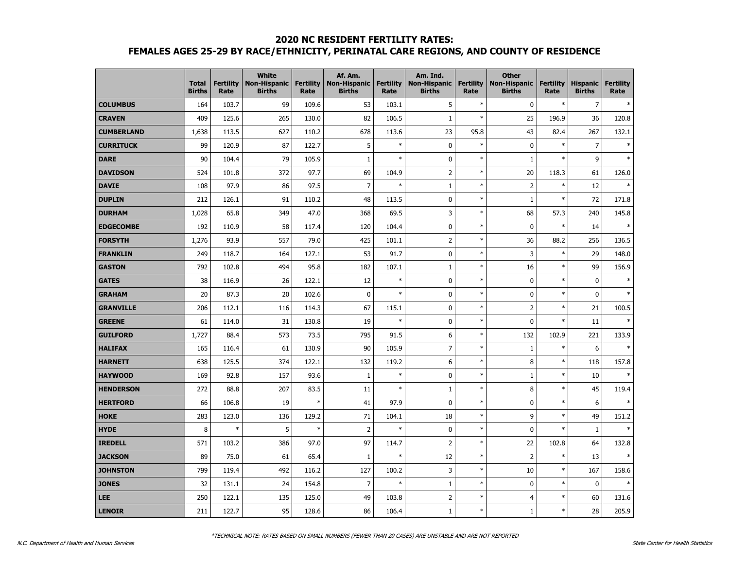## **2020 NC RESIDENT FERTILITY RATES:**

# **FEMALES AGES 25-29 BY RACE/ETHNICITY, PERINATAL CARE REGIONS, AND COUNTY OF RESIDENCE**

|                   | <b>Total</b><br><b>Births</b> | <b>Fertility</b><br>Rate | <b>White</b><br><b>Non-Hispanic</b><br><b>Births</b> | <b>Fertility</b><br>Rate | Af. Am.<br><b>Non-Hispanic</b><br><b>Births</b> | <b>Fertility</b><br>Rate | Am. Ind.<br><b>Non-Hispanic</b><br><b>Births</b> | <b>Fertility</b><br>Rate | <b>Other</b><br><b>Non-Hispanic</b><br><b>Births</b> | <b>Fertility</b><br>Rate | <b>Hispanic</b><br><b>Births</b> | <b>Fertility</b><br>Rate |
|-------------------|-------------------------------|--------------------------|------------------------------------------------------|--------------------------|-------------------------------------------------|--------------------------|--------------------------------------------------|--------------------------|------------------------------------------------------|--------------------------|----------------------------------|--------------------------|
| <b>COLUMBUS</b>   | 164                           | 103.7                    | 99                                                   | 109.6                    | 53                                              | 103.1                    | 5                                                | $\ast$                   | $\pmb{0}$                                            | $\ast$                   | $\overline{7}$                   | $\ast$                   |
| <b>CRAVEN</b>     | 409                           | 125.6                    | 265                                                  | 130.0                    | 82                                              | 106.5                    | $1\,$                                            | $\ast$                   | 25                                                   | 196.9                    | 36                               | 120.8                    |
| <b>CUMBERLAND</b> | 1,638                         | 113.5                    | 627                                                  | 110.2                    | 678                                             | 113.6                    | 23                                               | 95.8                     | 43                                                   | 82.4                     | 267                              | 132.1                    |
| <b>CURRITUCK</b>  | 99                            | 120.9                    | 87                                                   | 122.7                    | 5                                               | $\ast$                   | $\mathbf 0$                                      | $\ast$                   | $\pmb{0}$                                            | $\ast$                   | $\overline{7}$                   |                          |
| <b>DARE</b>       | 90                            | 104.4                    | 79                                                   | 105.9                    | $\mathbf{1}$                                    | $\ast$                   | $\pmb{0}$                                        | $\ast$                   | $\mathbf 1$                                          | $\ast$                   | 9                                | $\ast$                   |
| <b>DAVIDSON</b>   | 524                           | 101.8                    | 372                                                  | 97.7                     | 69                                              | 104.9                    | $\overline{2}$                                   | $\ast$                   | 20                                                   | 118.3                    | 61                               | 126.0                    |
| <b>DAVIE</b>      | 108                           | 97.9                     | 86                                                   | 97.5                     | $\overline{7}$                                  | $\ast$                   | $\mathbf 1$                                      | $\ast$                   | $\overline{2}$                                       | $\ast$                   | 12                               |                          |
| <b>DUPLIN</b>     | 212                           | 126.1                    | 91                                                   | 110.2                    | 48                                              | 113.5                    | $\mathbf 0$                                      | $\ast$                   | $\mathbf{1}$                                         | $\ast$                   | 72                               | 171.8                    |
| <b>DURHAM</b>     | 1,028                         | 65.8                     | 349                                                  | 47.0                     | 368                                             | 69.5                     | 3                                                | $\ast$                   | 68                                                   | 57.3                     | 240                              | 145.8                    |
| <b>EDGECOMBE</b>  | 192                           | 110.9                    | 58                                                   | 117.4                    | 120                                             | 104.4                    | $\mathbf 0$                                      | $\ast$                   | $\pmb{0}$                                            | $\ast$                   | 14                               | $\ast$                   |
| <b>FORSYTH</b>    | 1,276                         | 93.9                     | 557                                                  | 79.0                     | 425                                             | 101.1                    | $\overline{2}$                                   | $\ast$                   | 36                                                   | 88.2                     | 256                              | 136.5                    |
| <b>FRANKLIN</b>   | 249                           | 118.7                    | 164                                                  | 127.1                    | 53                                              | 91.7                     | $\mathbf 0$                                      | $\ast$                   | 3                                                    | $\ast$                   | 29                               | 148.0                    |
| <b>GASTON</b>     | 792                           | 102.8                    | 494                                                  | 95.8                     | 182                                             | 107.1                    | $\mathbf 1$                                      | $\ast$                   | 16                                                   | $\ast$                   | 99                               | 156.9                    |
| <b>GATES</b>      | 38                            | 116.9                    | 26                                                   | 122.1                    | 12                                              | $\ast$                   | $\mathbf 0$                                      | $\ast$                   | $\pmb{0}$                                            | $\ast$                   | 0                                | $\ast$                   |
| <b>GRAHAM</b>     | 20                            | 87.3                     | 20                                                   | 102.6                    | 0                                               | $\ast$                   | $\mathbf 0$                                      | $\ast$                   | $\pmb{0}$                                            | $\ast$                   | 0                                | $\ast$                   |
| <b>GRANVILLE</b>  | 206                           | 112.1                    | 116                                                  | 114.3                    | 67                                              | 115.1                    | 0                                                | $\ast$                   | $\overline{2}$                                       | $\ast$                   | 21                               | 100.5                    |
| <b>GREENE</b>     | 61                            | 114.0                    | 31                                                   | 130.8                    | 19                                              | $\ast$                   | 0                                                | $\ast$                   | 0                                                    | $\ast$                   | 11                               | $\ast$                   |
| <b>GUILFORD</b>   | 1,727                         | 88.4                     | 573                                                  | 73.5                     | 795                                             | 91.5                     | 6                                                | $\ast$                   | 132                                                  | 102.9                    | 221                              | 133.9                    |
| <b>HALIFAX</b>    | 165                           | 116.4                    | 61                                                   | 130.9                    | 90                                              | 105.9                    | $\overline{7}$                                   | $\ast$                   | $\mathbf 1$                                          | $\ast$                   | 6                                | $\ast$                   |
| <b>HARNETT</b>    | 638                           | 125.5                    | 374                                                  | 122.1                    | 132                                             | 119.2                    | 6                                                | $\ast$                   | 8                                                    | $\ast$                   | 118                              | 157.8                    |
| <b>HAYWOOD</b>    | 169                           | 92.8                     | 157                                                  | 93.6                     | $1\,$                                           | $\ast$                   | $\mathbf 0$                                      | $\ast$                   | $\mathbf 1$                                          | $\ast$                   | 10                               |                          |
| <b>HENDERSON</b>  | 272                           | 88.8                     | 207                                                  | 83.5                     | 11                                              | $\ast$                   | $\mathbf 1$                                      | $\ast$                   | $\bf 8$                                              | $\ast$                   | 45                               | 119.4                    |
| <b>HERTFORD</b>   | 66                            | 106.8                    | 19                                                   | $\ast$                   | 41                                              | 97.9                     | $\mathbf 0$                                      | $\ast$                   | $\pmb{0}$                                            | $\ast$                   | 6                                |                          |
| <b>HOKE</b>       | 283                           | 123.0                    | 136                                                  | 129.2                    | 71                                              | 104.1                    | 18                                               | $\ast$                   | 9                                                    | $\ast$                   | 49                               | 151.2                    |
| <b>HYDE</b>       | 8                             | $\ast$                   | 5                                                    | $\ast$                   | $\overline{2}$                                  | $\ast$                   | $\mathbf 0$                                      | $\ast$                   | 0                                                    | $\ast$                   | $\mathbf{1}$                     | $\ast$                   |
| <b>IREDELL</b>    | 571                           | 103.2                    | 386                                                  | 97.0                     | 97                                              | 114.7                    | $\overline{\mathbf{c}}$                          | $\ast$                   | 22                                                   | 102.8                    | 64                               | 132.8                    |
| <b>JACKSON</b>    | 89                            | 75.0                     | 61                                                   | 65.4                     | $1\,$                                           | $\ast$                   | 12                                               | $\ast$                   | $\overline{2}$                                       | $\ast$                   | 13                               | $\ast$                   |
| <b>JOHNSTON</b>   | 799                           | 119.4                    | 492                                                  | 116.2                    | 127                                             | 100.2                    | 3                                                | $\ast$                   | 10                                                   | $\ast$                   | 167                              | 158.6                    |
| <b>JONES</b>      | 32                            | 131.1                    | 24                                                   | 154.8                    | $\overline{7}$                                  | $\ast$                   | $\mathbf 1$                                      | $\ast$                   | 0                                                    | $\ast$                   | 0                                |                          |
| <b>LEE</b>        | 250                           | 122.1                    | 135                                                  | 125.0                    | 49                                              | 103.8                    | $\overline{2}$                                   | $\ast$                   | 4                                                    | $\ast$                   | 60                               | 131.6                    |
| <b>LENOIR</b>     | 211                           | 122.7                    | 95                                                   | 128.6                    | 86                                              | 106.4                    | $\mathbf 1$                                      | $\ast$                   | $\mathbf 1$                                          | $\ast$                   | 28                               | 205.9                    |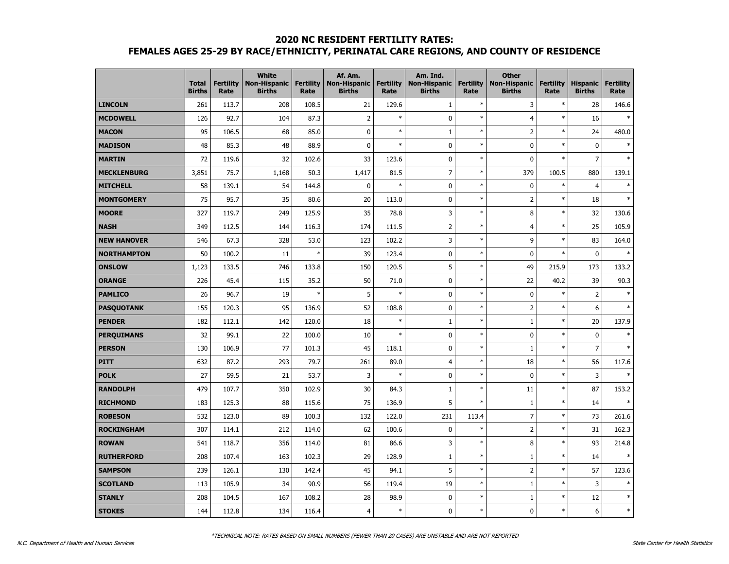#### **2020 NC RESIDENT FERTILITY RATES:**

# **FEMALES AGES 25-29 BY RACE/ETHNICITY, PERINATAL CARE REGIONS, AND COUNTY OF RESIDENCE**

|                    | <b>Total</b><br><b>Births</b> | <b>Fertility</b><br>Rate | <b>White</b><br><b>Non-Hispanic</b><br><b>Births</b> | <b>Fertility</b><br>Rate | Af. Am.<br><b>Non-Hispanic</b><br><b>Births</b> | <b>Fertility</b><br>Rate | Am. Ind.<br><b>Non-Hispanic</b><br><b>Births</b> | <b>Fertility</b><br>Rate | <b>Other</b><br><b>Non-Hispanic</b><br><b>Births</b> | <b>Fertility</b><br>Rate | <b>Hispanic</b><br><b>Births</b> | <b>Fertility</b><br>Rate |
|--------------------|-------------------------------|--------------------------|------------------------------------------------------|--------------------------|-------------------------------------------------|--------------------------|--------------------------------------------------|--------------------------|------------------------------------------------------|--------------------------|----------------------------------|--------------------------|
| <b>LINCOLN</b>     | 261                           | 113.7                    | 208                                                  | 108.5                    | 21                                              | 129.6                    | $\mathbf 1$                                      | $\ast$                   | 3                                                    | $\ast$                   | 28                               | 146.6                    |
| <b>MCDOWELL</b>    | 126                           | 92.7                     | 104                                                  | 87.3                     | $\overline{2}$                                  | $\ast$                   | $\mathbf 0$                                      | $\ast$                   | $\overline{4}$                                       | $\ast$                   | 16                               | $\ast$                   |
| <b>MACON</b>       | 95                            | 106.5                    | 68                                                   | 85.0                     | 0                                               | $\ast$                   | $\mathbf{1}$                                     | $\ast$                   | $\overline{2}$                                       | $\ast$                   | 24                               | 480.0                    |
| <b>MADISON</b>     | 48                            | 85.3                     | 48                                                   | 88.9                     | 0                                               | $\ast$                   | $\mathbf 0$                                      | $\ast$                   | 0                                                    | $\ast$                   | $\mathbf 0$                      |                          |
| <b>MARTIN</b>      | 72                            | 119.6                    | 32                                                   | 102.6                    | 33                                              | 123.6                    | $\mathbf 0$                                      | $\ast$                   | 0                                                    | $\ast$                   | $\overline{7}$                   |                          |
| <b>MECKLENBURG</b> | 3,851                         | 75.7                     | 1,168                                                | 50.3                     | 1,417                                           | 81.5                     | $\overline{7}$                                   | $\ast$                   | 379                                                  | 100.5                    | 880                              | 139.1                    |
| <b>MITCHELL</b>    | 58                            | 139.1                    | 54                                                   | 144.8                    | 0                                               | $\ast$                   | $\mathbf 0$                                      | $\ast$                   | 0                                                    | $\ast$                   | $\overline{4}$                   |                          |
| <b>MONTGOMERY</b>  | 75                            | 95.7                     | 35                                                   | 80.6                     | 20                                              | 113.0                    | $\mathbf 0$                                      | $\ast$                   | $\overline{2}$                                       | $\ast$                   | 18                               |                          |
| <b>MOORE</b>       | 327                           | 119.7                    | 249                                                  | 125.9                    | 35                                              | 78.8                     | 3                                                | $\ast$                   | 8                                                    | $\ast$                   | 32                               | 130.6                    |
| <b>NASH</b>        | 349                           | 112.5                    | 144                                                  | 116.3                    | 174                                             | 111.5                    | $\overline{2}$                                   | $\ast$                   | 4                                                    | $\ast$                   | 25                               | 105.9                    |
| <b>NEW HANOVER</b> | 546                           | 67.3                     | 328                                                  | 53.0                     | 123                                             | 102.2                    | 3                                                | $\ast$                   | 9                                                    | $\ast$                   | 83                               | 164.0                    |
| <b>NORTHAMPTON</b> | 50                            | 100.2                    | 11                                                   | $\ast$                   | 39                                              | 123.4                    | $\mathbf 0$                                      | $\ast$                   | 0                                                    | $\ast$                   | $\mathbf 0$                      |                          |
| <b>ONSLOW</b>      | 1,123                         | 133.5                    | 746                                                  | 133.8                    | 150                                             | 120.5                    | 5                                                | $\ast$                   | 49                                                   | 215.9                    | 173                              | 133.2                    |
| <b>ORANGE</b>      | 226                           | 45.4                     | 115                                                  | 35.2                     | 50                                              | 71.0                     | $\mathbf 0$                                      | $\ast$                   | 22                                                   | 40.2                     | 39                               | 90.3                     |
| <b>PAMLICO</b>     | 26                            | 96.7                     | 19                                                   | $\ast$                   | 5                                               | $\ast$                   | $\mathbf 0$                                      | $\ast$                   | $\mathbf 0$                                          | $\ast$                   | $\overline{2}$                   |                          |
| <b>PASQUOTANK</b>  | 155                           | 120.3                    | 95                                                   | 136.9                    | 52                                              | 108.8                    | $\mathbf 0$                                      | $\ast$                   | $\overline{2}$                                       | $\ast$                   | 6                                |                          |
| <b>PENDER</b>      | 182                           | 112.1                    | 142                                                  | 120.0                    | 18                                              | $\ast$                   | $1\,$                                            | $\ast$                   | $1\,$                                                | $\ast$                   | 20                               | 137.9                    |
| <b>PERQUIMANS</b>  | 32                            | 99.1                     | 22                                                   | 100.0                    | 10                                              | $\ast$                   | $\mathbf 0$                                      | $\ast$                   | 0                                                    | $\ast$                   | $\mathbf 0$                      | $\mathbf{A}$             |
| <b>PERSON</b>      | 130                           | 106.9                    | 77                                                   | 101.3                    | 45                                              | 118.1                    | 0                                                | $\ast$                   | $\mathbf 1$                                          | $\ast$                   | $\overline{7}$                   |                          |
| <b>PITT</b>        | 632                           | 87.2                     | 293                                                  | 79.7                     | 261                                             | 89.0                     | $\overline{4}$                                   | $\ast$                   | 18                                                   | $\ast$                   | 56                               | 117.6                    |
| <b>POLK</b>        | 27                            | 59.5                     | 21                                                   | 53.7                     | 3                                               | $\ast$                   | $\mathbf 0$                                      | $\ast$                   | 0                                                    | $\ast$                   | 3                                |                          |
| <b>RANDOLPH</b>    | 479                           | 107.7                    | 350                                                  | 102.9                    | 30                                              | 84.3                     | $1\,$                                            | $\ast$                   | 11                                                   | $\ast$                   | 87                               | 153.2                    |
| <b>RICHMOND</b>    | 183                           | 125.3                    | 88                                                   | 115.6                    | 75                                              | 136.9                    | 5                                                | $\ast$                   | $\mathbf{1}$                                         | $\ast$                   | 14                               | $\ast$                   |
| <b>ROBESON</b>     | 532                           | 123.0                    | 89                                                   | 100.3                    | 132                                             | 122.0                    | 231                                              | 113.4                    | $\overline{7}$                                       | $\ast$                   | 73                               | 261.6                    |
| <b>ROCKINGHAM</b>  | 307                           | 114.1                    | 212                                                  | 114.0                    | 62                                              | 100.6                    | $\mathbf 0$                                      | $\ast$                   | $\overline{2}$                                       | $\ast$                   | 31                               | 162.3                    |
| <b>ROWAN</b>       | 541                           | 118.7                    | 356                                                  | 114.0                    | 81                                              | 86.6                     | 3                                                | $\ast$                   | 8                                                    | $\ast$                   | 93                               | 214.8                    |
| <b>RUTHERFORD</b>  | 208                           | 107.4                    | 163                                                  | 102.3                    | 29                                              | 128.9                    | $1\,$                                            | $\ast$                   | $\mathbf 1$                                          | $\ast$                   | 14                               |                          |
| <b>SAMPSON</b>     | 239                           | 126.1                    | 130                                                  | 142.4                    | 45                                              | 94.1                     | 5                                                | $\ast$                   | $\overline{2}$                                       | $\ast$                   | 57                               | 123.6                    |
| <b>SCOTLAND</b>    | 113                           | 105.9                    | 34                                                   | 90.9                     | 56                                              | 119.4                    | 19                                               | $\ast$                   | $\mathbf{1}$                                         | $\ast$                   | 3                                |                          |
| <b>STANLY</b>      | 208                           | 104.5                    | 167                                                  | 108.2                    | 28                                              | 98.9                     | $\mathbf 0$                                      | $\ast$                   | $\mathbf{1}$                                         | $\ast$                   | 12                               | $\ast$                   |
| <b>STOKES</b>      | 144                           | 112.8                    | 134                                                  | 116.4                    | $\overline{4}$                                  | $\ast$                   | 0                                                | $\ast$                   | 0                                                    | $\ast$                   | 6                                | $\ast$                   |